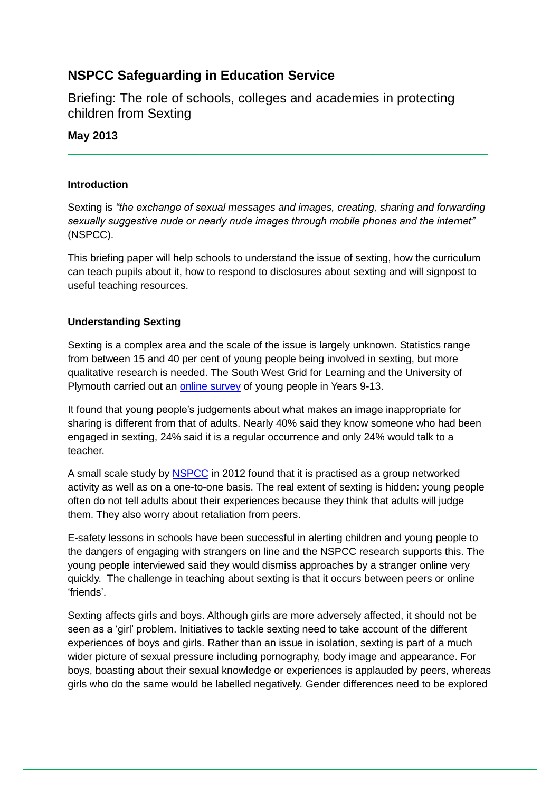# **NSPCC Safeguarding in Education Service**

Briefing: The role of schools, colleges and academies in protecting children from Sexting

**May 2013**

#### **Introduction**

Sexting is *"the exchange of sexual messages and images, creating, sharing and forwarding sexually suggestive nude or nearly nude images through mobile phones and the internet"*  (NSPCC).

\_\_\_\_\_\_\_\_\_\_\_\_\_\_\_\_\_\_\_\_\_\_\_\_\_\_\_\_\_\_\_\_\_\_\_\_\_\_\_\_\_\_\_\_\_\_\_\_\_\_\_\_\_\_\_\_\_\_\_\_\_\_\_\_\_\_\_

This briefing paper will help schools to understand the issue of sexting, how the curriculum can teach pupils about it, how to respond to disclosures about sexting and will signpost to useful teaching resources.

### **Understanding Sexting**

Sexting is a complex area and the scale of the issue is largely unknown. Statistics range from between 15 and 40 per cent of young people being involved in sexting, but more qualitative research is needed. The South West Grid for Learning and the University of Plymouth carried out an [online survey](http://www.swgfl.org.uk/Staying-Safe/Sexting-Survey) of young people in Years 9-13.

It found that young people's judgements about what makes an image inappropriate for sharing is different from that of adults. Nearly 40% said they know someone who had been engaged in sexting, 24% said it is a regular occurrence and only 24% would talk to a teacher.

A small scale study by [NSPCC](http://www.nspcc.org.uk/Inform/resourcesforprofessionals/sexualabuse/sexting-research_wda89260.html) in 2012 found that it is practised as a group networked activity as well as on a one-to-one basis. The real extent of sexting is hidden: young people often do not tell adults about their experiences because they think that adults will judge them. They also worry about retaliation from peers.

E-safety lessons in schools have been successful in alerting children and young people to the dangers of engaging with strangers on line and the NSPCC research supports this. The young people interviewed said they would dismiss approaches by a stranger online very quickly. The challenge in teaching about sexting is that it occurs between peers or online 'friends'.

Sexting affects girls and boys. Although girls are more adversely affected, it should not be seen as a 'girl' problem. Initiatives to tackle sexting need to take account of the different experiences of boys and girls. Rather than an issue in isolation, sexting is part of a much wider picture of sexual pressure including pornography, body image and appearance. For boys, boasting about their sexual knowledge or experiences is applauded by peers, whereas girls who do the same would be labelled negatively. Gender differences need to be explored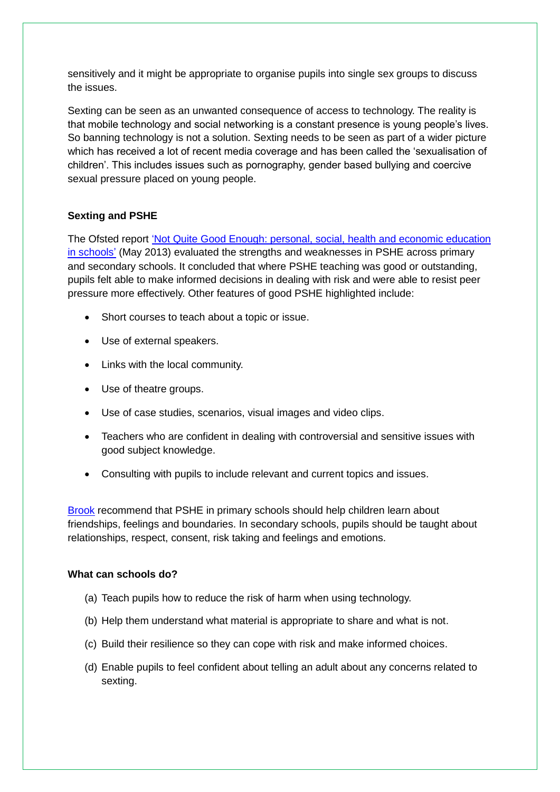sensitively and it might be appropriate to organise pupils into single sex groups to discuss the issues.

Sexting can be seen as an unwanted consequence of access to technology. The reality is that mobile technology and social networking is a constant presence is young people's lives. So banning technology is not a solution. Sexting needs to be seen as part of a wider picture which has received a lot of recent media coverage and has been called the 'sexualisation of children'. This includes issues such as pornography, gender based bullying and coercive sexual pressure placed on young people.

## **Sexting and PSHE**

The Ofsted report ['Not Quite Good Enough: personal, social, health and economic education](http://www.ofsted.gov.uk/resources/not-yet-good-enough-personal-social-health-and-economic-education-schools)  [in schools'](http://www.ofsted.gov.uk/resources/not-yet-good-enough-personal-social-health-and-economic-education-schools) (May 2013) evaluated the strengths and weaknesses in PSHE across primary and secondary schools. It concluded that where PSHE teaching was good or outstanding, pupils felt able to make informed decisions in dealing with risk and were able to resist peer pressure more effectively. Other features of good PSHE highlighted include:

- Short courses to teach about a topic or issue.
- Use of external speakers.
- Links with the local community.
- Use of theatre groups.
- Use of case studies, scenarios, visual images and video clips.
- Teachers who are confident in dealing with controversial and sensitive issues with good subject knowledge.
- Consulting with pupils to include relevant and current topics and issues.

[Brook](http://www.brook.org.uk/) recommend that PSHE in primary schools should help children learn about friendships, feelings and boundaries. In secondary schools, pupils should be taught about relationships, respect, consent, risk taking and feelings and emotions.

#### **What can schools do?**

- (a) Teach pupils how to reduce the risk of harm when using technology.
- (b) Help them understand what material is appropriate to share and what is not.
- (c) Build their resilience so they can cope with risk and make informed choices.
- (d) Enable pupils to feel confident about telling an adult about any concerns related to sexting.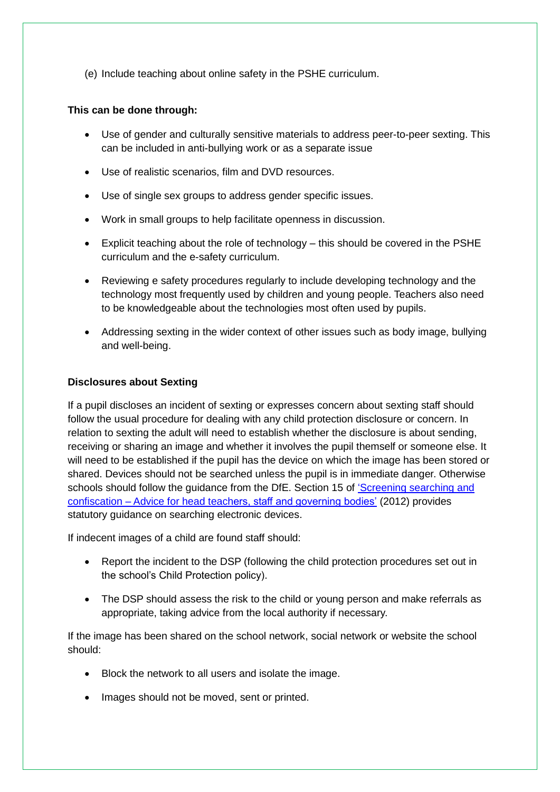(e) Include teaching about online safety in the PSHE curriculum.

#### **This can be done through:**

- Use of gender and culturally sensitive materials to address peer-to-peer sexting. This can be included in anti-bullying work or as a separate issue
- Use of realistic scenarios, film and DVD resources.
- Use of single sex groups to address gender specific issues.
- Work in small groups to help facilitate openness in discussion.
- Explicit teaching about the role of technology this should be covered in the PSHE curriculum and the e-safety curriculum.
- Reviewing e safety procedures regularly to include developing technology and the technology most frequently used by children and young people. Teachers also need to be knowledgeable about the technologies most often used by pupils.
- Addressing sexting in the wider context of other issues such as body image, bullying and well-being.

#### **Disclosures about Sexting**

If a pupil discloses an incident of sexting or expresses concern about sexting staff should follow the usual procedure for dealing with any child protection disclosure or concern. In relation to sexting the adult will need to establish whether the disclosure is about sending, receiving or sharing an image and whether it involves the pupil themself or someone else. It will need to be established if the pupil has the device on which the image has been stored or shared. Devices should not be searched unless the pupil is in immediate danger. Otherwise schools should follow the guidance from the DfE. Section 15 of 'Screening searching and confiscation – [Advice for head teachers, staff and governing bodies'](http://www.education.gov.uk/aboutdfe/advice/f0076897/screening,-searching-and-confiscation/screening-searching-and-confiscation) (2012) provides statutory guidance on searching electronic devices.

If indecent images of a child are found staff should:

- Report the incident to the DSP (following the child protection procedures set out in the school's Child Protection policy).
- The DSP should assess the risk to the child or young person and make referrals as appropriate, taking advice from the local authority if necessary.

If the image has been shared on the school network, social network or website the school should:

- Block the network to all users and isolate the image.
- Images should not be moved, sent or printed.